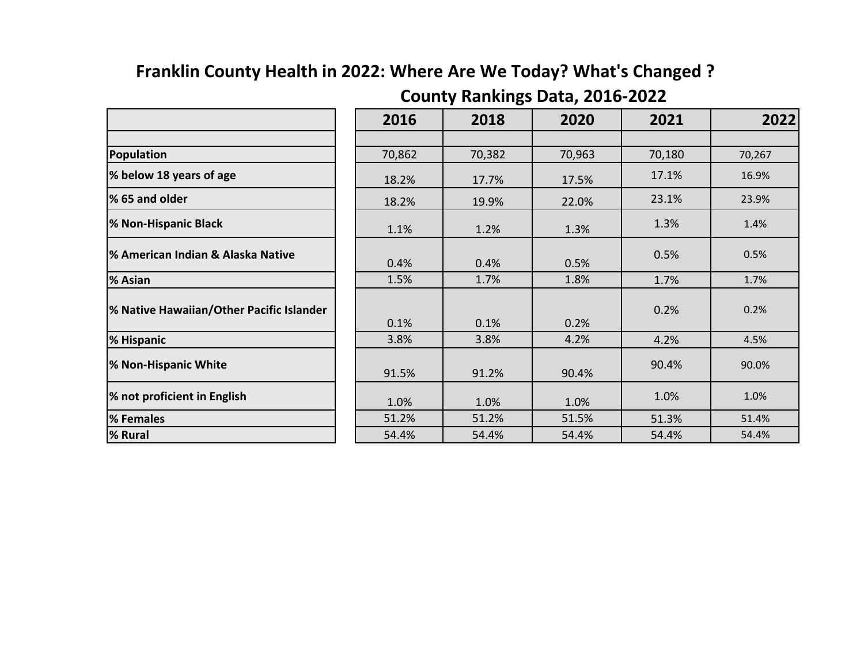## **Franklin County Health in 2022: Where Are We Today? What's Changed ?**

|                                          | 2016   | 2018   | 2020   | 2021   | 2022   |
|------------------------------------------|--------|--------|--------|--------|--------|
|                                          |        |        |        |        |        |
| Population                               | 70,862 | 70,382 | 70,963 | 70,180 | 70,267 |
| % below 18 years of age                  | 18.2%  | 17.7%  | 17.5%  | 17.1%  | 16.9%  |
| % 65 and older                           | 18.2%  | 19.9%  | 22.0%  | 23.1%  | 23.9%  |
| % Non-Hispanic Black                     | 1.1%   | 1.2%   | 1.3%   | 1.3%   | 1.4%   |
| % American Indian & Alaska Native        | 0.4%   | 0.4%   | 0.5%   | 0.5%   | 0.5%   |
| % Asian                                  | 1.5%   | 1.7%   | 1.8%   | 1.7%   | 1.7%   |
| % Native Hawaiian/Other Pacific Islander | 0.1%   | 0.1%   | 0.2%   | 0.2%   | 0.2%   |
| % Hispanic                               | 3.8%   | 3.8%   | 4.2%   | 4.2%   | 4.5%   |
| % Non-Hispanic White                     | 91.5%  | 91.2%  | 90.4%  | 90.4%  | 90.0%  |
| % not proficient in English              | 1.0%   | 1.0%   | 1.0%   | 1.0%   | 1.0%   |
| % Females                                | 51.2%  | 51.2%  | 51.5%  | 51.3%  | 51.4%  |
| % Rural                                  | 54.4%  | 54.4%  | 54.4%  | 54.4%  | 54.4%  |

## **County Rankings Data, 2016-2022**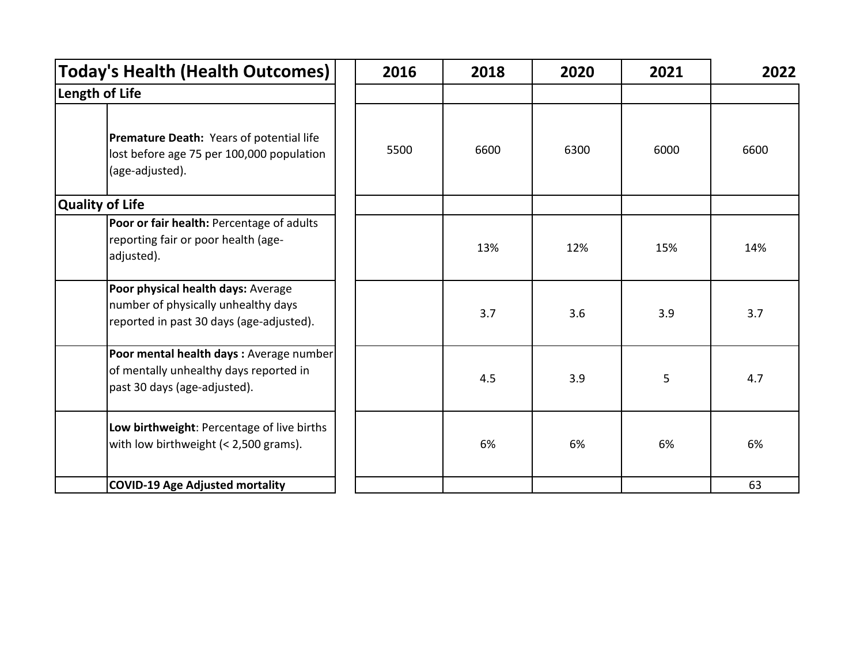| <b>Today's Health (Health Outcomes)</b>                                                                               | 2016 | 2018 | 2020 | 2021 | 2022 |
|-----------------------------------------------------------------------------------------------------------------------|------|------|------|------|------|
| Length of Life                                                                                                        |      |      |      |      |      |
| Premature Death: Years of potential life<br>lost before age 75 per 100,000 population<br>(age-adjusted).              | 5500 | 6600 | 6300 | 6000 | 6600 |
| <b>Quality of Life</b>                                                                                                |      |      |      |      |      |
| Poor or fair health: Percentage of adults<br>reporting fair or poor health (age-<br>adjusted).                        |      | 13%  | 12%  | 15%  | 14%  |
| Poor physical health days: Average<br>number of physically unhealthy days<br>reported in past 30 days (age-adjusted). |      | 3.7  | 3.6  | 3.9  | 3.7  |
| Poor mental health days : Average number<br>of mentally unhealthy days reported in<br>past 30 days (age-adjusted).    |      | 4.5  | 3.9  | 5    | 4.7  |
| Low birthweight: Percentage of live births<br>with low birthweight (< 2,500 grams).                                   |      | 6%   | 6%   | 6%   | 6%   |
| COVID-19 Age Adjusted mortality                                                                                       |      |      |      |      | 63   |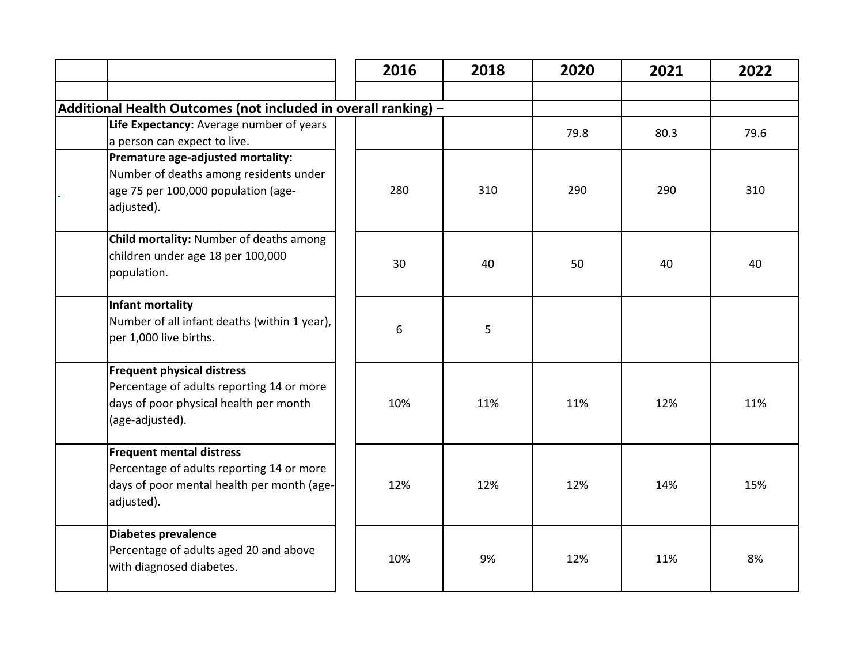|                                                                                                                                             | 2016 | 2018 | 2020 | 2021 | 2022 |
|---------------------------------------------------------------------------------------------------------------------------------------------|------|------|------|------|------|
|                                                                                                                                             |      |      |      |      |      |
| Additional Health Outcomes (not included in overall ranking) -                                                                              |      |      |      |      |      |
| Life Expectancy: Average number of years<br>a person can expect to live.                                                                    |      |      | 79.8 | 80.3 | 79.6 |
| Premature age-adjusted mortality:<br>Number of deaths among residents under<br>age 75 per 100,000 population (age-<br>adjusted).            | 280  | 310  | 290  | 290  | 310  |
| Child mortality: Number of deaths among<br>children under age 18 per 100,000<br>population.                                                 | 30   | 40   | 50   | 40   | 40   |
| Infant mortality<br>Number of all infant deaths (within 1 year),<br>per 1,000 live births.                                                  | 6    | 5    |      |      |      |
| <b>Frequent physical distress</b><br>Percentage of adults reporting 14 or more<br>days of poor physical health per month<br>(age-adjusted). | 10%  | 11%  | 11%  | 12%  | 11%  |
| <b>Frequent mental distress</b><br>Percentage of adults reporting 14 or more<br>days of poor mental health per month (age-<br>adjusted).    | 12%  | 12%  | 12%  | 14%  | 15%  |
| Diabetes prevalence<br>Percentage of adults aged 20 and above<br>with diagnosed diabetes.                                                   | 10%  | 9%   | 12%  | 11%  | 8%   |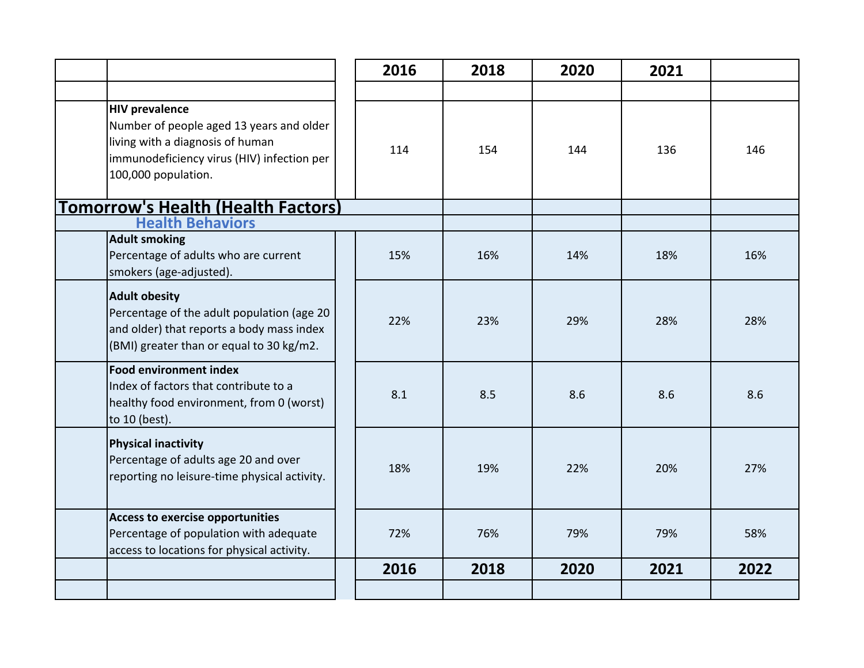|                                                                                                                                                                            | 2016 | 2018 | 2020 | 2021 |      |
|----------------------------------------------------------------------------------------------------------------------------------------------------------------------------|------|------|------|------|------|
|                                                                                                                                                                            |      |      |      |      |      |
| <b>HIV prevalence</b><br>Number of people aged 13 years and older<br>living with a diagnosis of human<br>immunodeficiency virus (HIV) infection per<br>100,000 population. | 114  | 154  | 144  | 136  | 146  |
| <b>Tomorrow's Health (Health Factors)</b>                                                                                                                                  |      |      |      |      |      |
| <b>Health Behaviors</b>                                                                                                                                                    |      |      |      |      |      |
| <b>Adult smoking</b><br>Percentage of adults who are current<br>smokers (age-adjusted).                                                                                    | 15%  | 16%  | 14%  | 18%  | 16%  |
| <b>Adult obesity</b><br>Percentage of the adult population (age 20<br>and older) that reports a body mass index<br>(BMI) greater than or equal to 30 kg/m2.                | 22%  | 23%  | 29%  | 28%  | 28%  |
| <b>Food environment index</b><br>Index of factors that contribute to a<br>healthy food environment, from 0 (worst)<br>to 10 (best).                                        | 8.1  | 8.5  | 8.6  | 8.6  | 8.6  |
| <b>Physical inactivity</b><br>Percentage of adults age 20 and over<br>reporting no leisure-time physical activity.                                                         | 18%  | 19%  | 22%  | 20%  | 27%  |
| <b>Access to exercise opportunities</b><br>Percentage of population with adequate<br>access to locations for physical activity.                                            | 72%  | 76%  | 79%  | 79%  | 58%  |
|                                                                                                                                                                            | 2016 | 2018 | 2020 | 2021 | 2022 |
|                                                                                                                                                                            |      |      |      |      |      |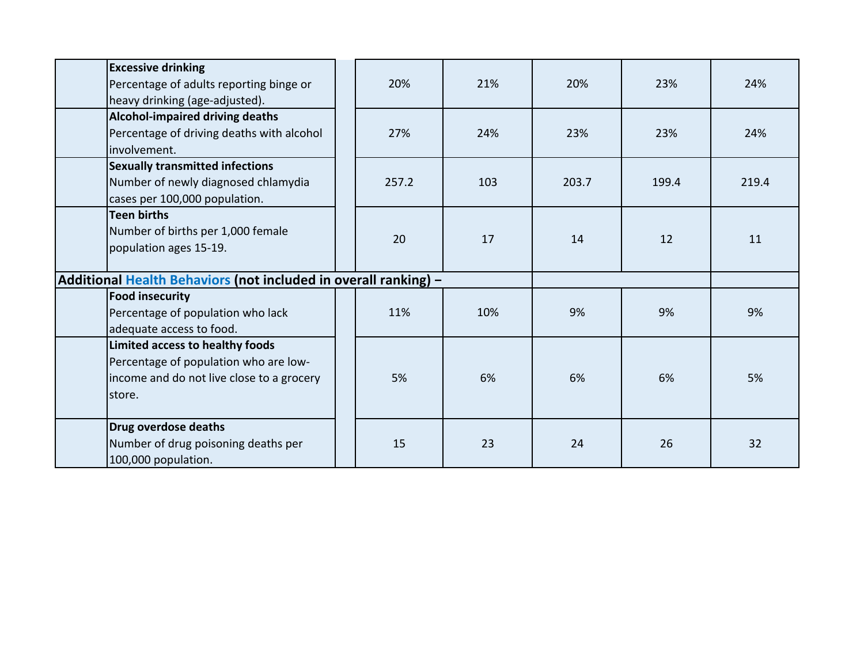| <b>Excessive drinking</b><br>Percentage of adults reporting binge or<br>heavy drinking (age-adjusted).                          |                                                                 | 20%   | 21% | 20%   | 23%   | 24%   |
|---------------------------------------------------------------------------------------------------------------------------------|-----------------------------------------------------------------|-------|-----|-------|-------|-------|
| Alcohol-impaired driving deaths<br>Percentage of driving deaths with alcohol<br>involvement.                                    |                                                                 | 27%   | 24% | 23%   | 23%   | 24%   |
| <b>Sexually transmitted infections</b><br>Number of newly diagnosed chlamydia<br>cases per 100,000 population.                  |                                                                 | 257.2 | 103 | 203.7 | 199.4 | 219.4 |
| <b>Teen births</b><br>Number of births per 1,000 female<br>population ages 15-19.                                               |                                                                 | 20    | 17  | 14    | 12    | 11    |
|                                                                                                                                 | Additional Health Behaviors (not included in overall ranking) - |       |     |       |       |       |
| <b>Food insecurity</b><br>Percentage of population who lack<br>adequate access to food.                                         |                                                                 | 11%   | 10% | 9%    | 9%    | 9%    |
| Limited access to healthy foods<br>Percentage of population who are low-<br>income and do not live close to a grocery<br>store. |                                                                 | 5%    | 6%  | 6%    | 6%    | 5%    |
| Drug overdose deaths<br>Number of drug poisoning deaths per<br>100,000 population.                                              |                                                                 | 15    | 23  | 24    | 26    | 32    |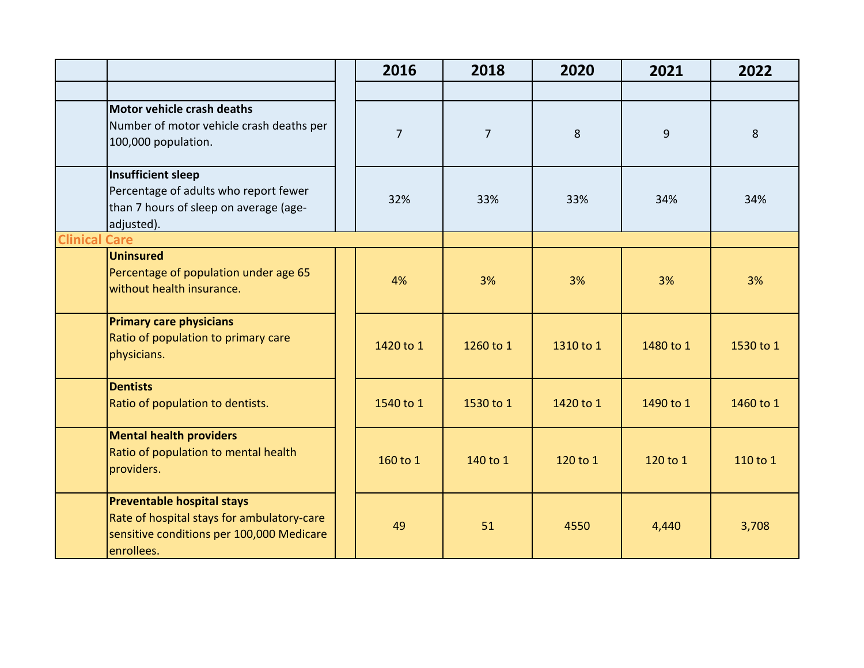|                      |                                                                                                                                            | 2016           | 2018           | 2020      | 2021      | 2022      |
|----------------------|--------------------------------------------------------------------------------------------------------------------------------------------|----------------|----------------|-----------|-----------|-----------|
|                      |                                                                                                                                            |                |                |           |           |           |
|                      | Motor vehicle crash deaths<br>Number of motor vehicle crash deaths per<br>100,000 population.                                              | $\overline{7}$ | $\overline{7}$ | 8         | 9         | 8         |
|                      | <b>Insufficient sleep</b><br>Percentage of adults who report fewer<br>than 7 hours of sleep on average (age-<br>adjusted).                 | 32%            | 33%            | 33%       | 34%       | 34%       |
| <b>Clinical Care</b> |                                                                                                                                            |                |                |           |           |           |
|                      | <b>Uninsured</b><br>Percentage of population under age 65<br>without health insurance.                                                     | 4%             | 3%             | 3%        | 3%        | 3%        |
|                      | <b>Primary care physicians</b><br>Ratio of population to primary care<br>physicians.                                                       | 1420 to 1      | 1260 to 1      | 1310 to 1 | 1480 to 1 | 1530 to 1 |
|                      | <b>Dentists</b><br>Ratio of population to dentists.                                                                                        | 1540 to 1      | 1530 to 1      | 1420 to 1 | 1490 to 1 | 1460 to 1 |
|                      | <b>Mental health providers</b><br>Ratio of population to mental health<br>providers.                                                       | 160 to 1       | 140 to 1       | 120 to 1  | 120 to 1  | 110 to 1  |
|                      | <b>Preventable hospital stays</b><br>Rate of hospital stays for ambulatory-care<br>sensitive conditions per 100,000 Medicare<br>enrollees. | 49             | 51             | 4550      | 4,440     | 3,708     |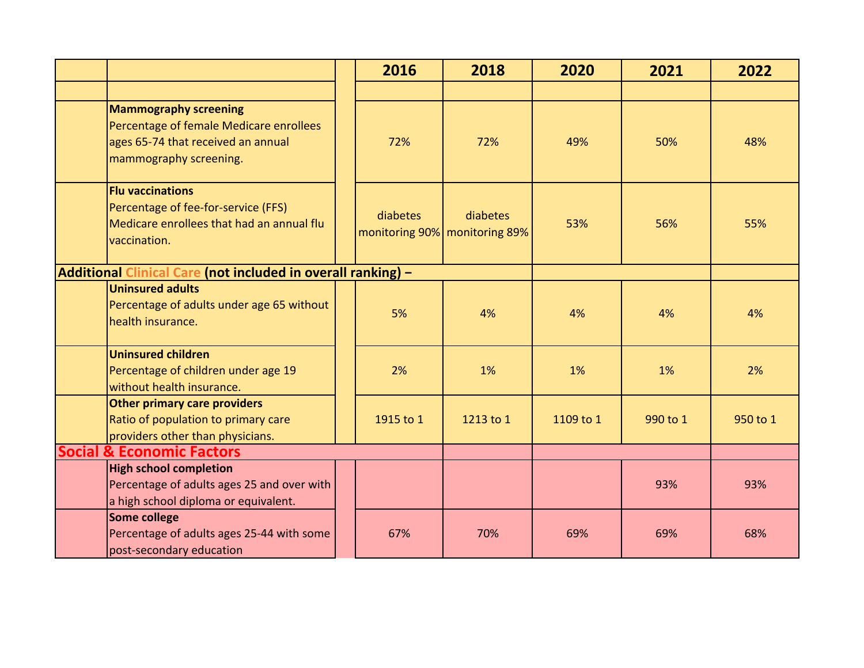|                                                                                                                                         | 2016      | 2018                                      | 2020      | 2021     | 2022     |
|-----------------------------------------------------------------------------------------------------------------------------------------|-----------|-------------------------------------------|-----------|----------|----------|
|                                                                                                                                         |           |                                           |           |          |          |
| <b>Mammography screening</b><br>Percentage of female Medicare enrollees<br>ages 65-74 that received an annual<br>mammography screening. | 72%       | 72%                                       | 49%       | 50%      | 48%      |
| <b>Flu vaccinations</b><br>Percentage of fee-for-service (FFS)<br>Medicare enrollees that had an annual flu<br>vaccination.             | diabetes  | diabetes<br>monitoring 90% monitoring 89% | 53%       | 56%      | 55%      |
| Additional Clinical Care (not included in overall ranking) -                                                                            |           |                                           |           |          |          |
| <b>Uninsured adults</b><br>Percentage of adults under age 65 without<br>health insurance.                                               | 5%        | 4%                                        | 4%        | 4%       | 4%       |
| <b>Uninsured children</b><br>Percentage of children under age 19<br>without health insurance.                                           | 2%        | 1%                                        | 1%        | 1%       | 2%       |
| Other primary care providers<br>Ratio of population to primary care<br>providers other than physicians.                                 | 1915 to 1 | 1213 to 1                                 | 1109 to 1 | 990 to 1 | 950 to 1 |
| <b>Social &amp; Economic Factors</b>                                                                                                    |           |                                           |           |          |          |
| <b>High school completion</b><br>Percentage of adults ages 25 and over with<br>a high school diploma or equivalent.                     |           |                                           |           | 93%      | 93%      |
| Some college<br>Percentage of adults ages 25-44 with some<br>post-secondary education                                                   | 67%       | 70%                                       | 69%       | 69%      | 68%      |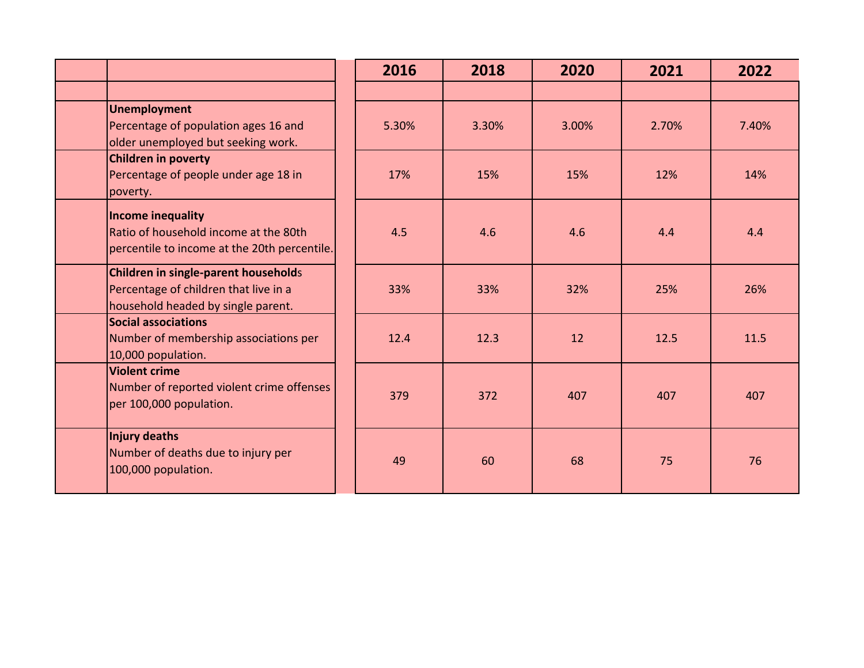|                                              | 2016  | 2018  | 2020  | 2021  | 2022  |
|----------------------------------------------|-------|-------|-------|-------|-------|
|                                              |       |       |       |       |       |
| <b>Unemployment</b>                          |       |       |       |       |       |
| Percentage of population ages 16 and         | 5.30% | 3.30% | 3.00% | 2.70% | 7.40% |
| older unemployed but seeking work.           |       |       |       |       |       |
| <b>Children in poverty</b>                   |       |       |       |       |       |
| Percentage of people under age 18 in         | 17%   | 15%   | 15%   | 12%   | 14%   |
| poverty.                                     |       |       |       |       |       |
| <b>Income inequality</b>                     |       |       |       |       |       |
| Ratio of household income at the 80th        | 4.5   | 4.6   | 4.6   | 4.4   | 4.4   |
| percentile to income at the 20th percentile. |       |       |       |       |       |
| Children in single-parent households         |       |       |       |       |       |
| Percentage of children that live in a        | 33%   | 33%   | 32%   | 25%   | 26%   |
| household headed by single parent.           |       |       |       |       |       |
| <b>Social associations</b>                   |       |       |       |       |       |
| Number of membership associations per        | 12.4  | 12.3  | 12    | 12.5  | 11.5  |
| 10,000 population.                           |       |       |       |       |       |
| <b>Violent crime</b>                         |       |       |       |       |       |
| Number of reported violent crime offenses    | 379   | 372   | 407   | 407   | 407   |
| per 100,000 population.                      |       |       |       |       |       |
| Injury deaths                                |       |       |       |       |       |
| Number of deaths due to injury per           |       |       |       |       |       |
| 100,000 population.                          | 49    | 60    | 68    | 75    | 76    |
|                                              |       |       |       |       |       |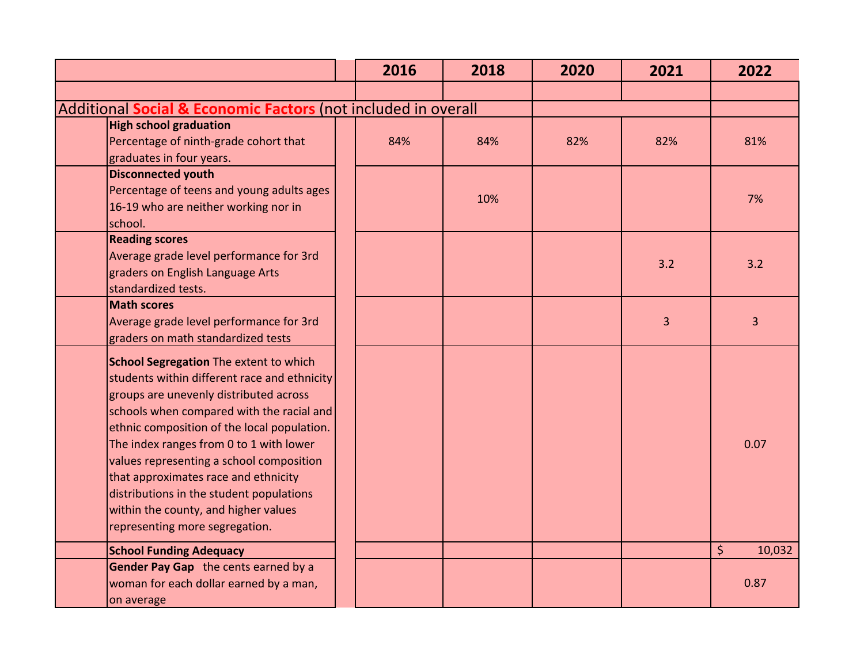|                                                                                                                                                                                                                                                                                                                                                                                                                                                                                          | 2016 | 2018 | 2020 | 2021 | 2022         |
|------------------------------------------------------------------------------------------------------------------------------------------------------------------------------------------------------------------------------------------------------------------------------------------------------------------------------------------------------------------------------------------------------------------------------------------------------------------------------------------|------|------|------|------|--------------|
|                                                                                                                                                                                                                                                                                                                                                                                                                                                                                          |      |      |      |      |              |
| Additional Social & Economic Factors (not included in overall                                                                                                                                                                                                                                                                                                                                                                                                                            |      |      |      |      |              |
| <b>High school graduation</b><br>Percentage of ninth-grade cohort that<br>graduates in four years.                                                                                                                                                                                                                                                                                                                                                                                       | 84%  | 84%  | 82%  | 82%  | 81%          |
| <b>Disconnected youth</b><br>Percentage of teens and young adults ages<br>16-19 who are neither working nor in<br>school.                                                                                                                                                                                                                                                                                                                                                                |      | 10%  |      |      | 7%           |
| <b>Reading scores</b><br>Average grade level performance for 3rd<br>graders on English Language Arts<br>standardized tests.                                                                                                                                                                                                                                                                                                                                                              |      |      |      | 3.2  | 3.2          |
| <b>Math scores</b><br>Average grade level performance for 3rd<br>graders on math standardized tests                                                                                                                                                                                                                                                                                                                                                                                      |      |      |      | 3    | 3            |
| <b>School Segregation The extent to which</b><br>students within different race and ethnicity<br>groups are unevenly distributed across<br>schools when compared with the racial and<br>ethnic composition of the local population.<br>The index ranges from 0 to 1 with lower<br>values representing a school composition<br>that approximates race and ethnicity<br>distributions in the student populations<br>within the county, and higher values<br>representing more segregation. |      |      |      |      | 0.07         |
| <b>School Funding Adequacy</b>                                                                                                                                                                                                                                                                                                                                                                                                                                                           |      |      |      |      | \$<br>10,032 |
| Gender Pay Gap the cents earned by a<br>woman for each dollar earned by a man,<br>on average                                                                                                                                                                                                                                                                                                                                                                                             |      |      |      |      | 0.87         |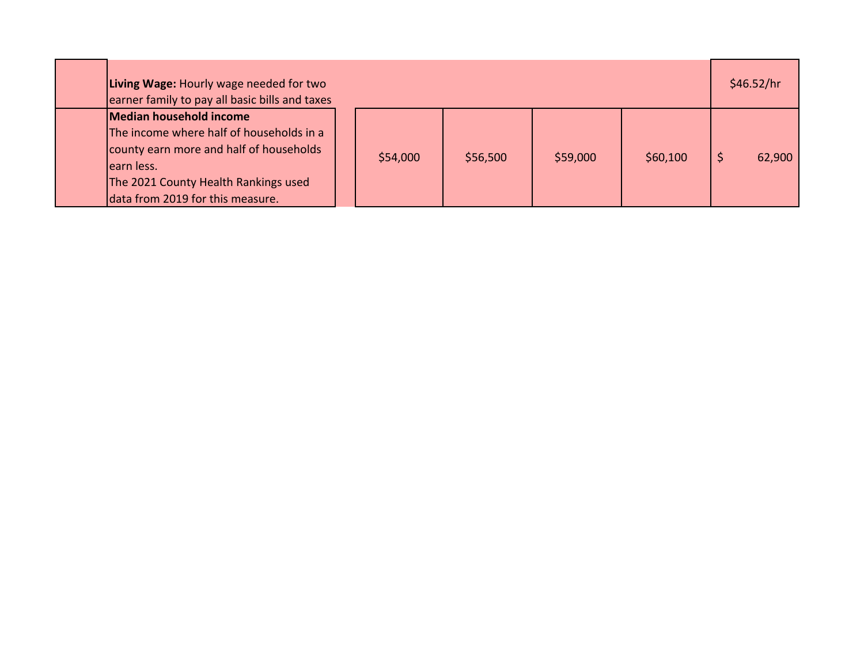| Living Wage: Hourly wage needed for two<br>earner family to pay all basic bills and taxes                                                                                                                 |          |          |          |          | \$46.52/hr |
|-----------------------------------------------------------------------------------------------------------------------------------------------------------------------------------------------------------|----------|----------|----------|----------|------------|
| Median household income<br>The income where half of households in a<br>county earn more and half of households<br>learn less.<br>The 2021 County Health Rankings used<br>data from 2019 for this measure. | \$54,000 | \$56,500 | \$59,000 | \$60,100 | 62,900     |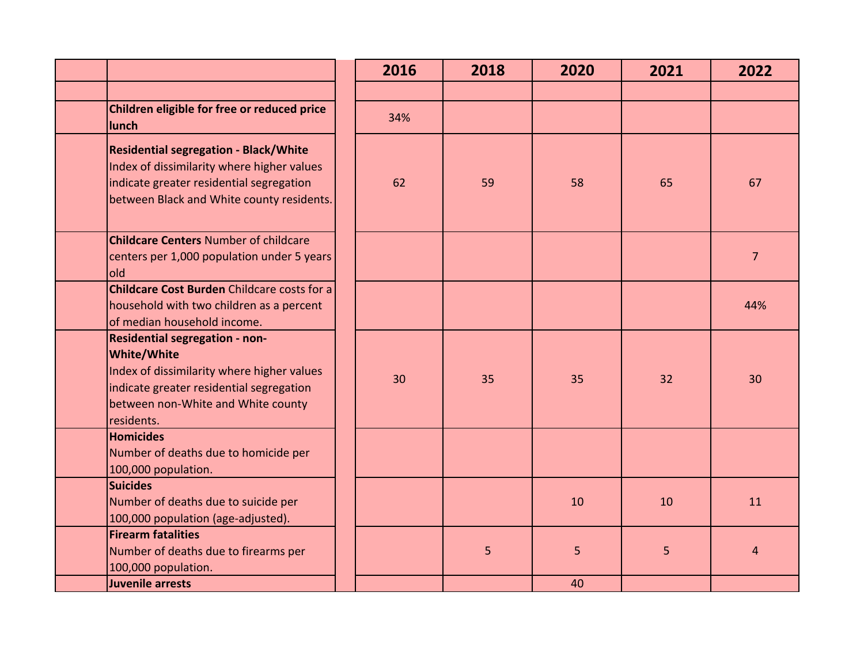|                                                                                                                                                                                                           | 2016 | 2018 | 2020 | 2021 | 2022           |
|-----------------------------------------------------------------------------------------------------------------------------------------------------------------------------------------------------------|------|------|------|------|----------------|
|                                                                                                                                                                                                           |      |      |      |      |                |
| Children eligible for free or reduced price<br>lunch                                                                                                                                                      | 34%  |      |      |      |                |
| <b>Residential segregation - Black/White</b><br>Index of dissimilarity where higher values<br>indicate greater residential segregation<br>between Black and White county residents.                       | 62   | 59   | 58   | 65   | 67             |
| <b>Childcare Centers Number of childcare</b><br>centers per 1,000 population under 5 years<br>old                                                                                                         |      |      |      |      | $\overline{7}$ |
| <b>Childcare Cost Burden Childcare costs for a</b><br>household with two children as a percent<br>of median household income.                                                                             |      |      |      |      | 44%            |
| <b>Residential segregation - non-</b><br><b>White/White</b><br>Index of dissimilarity where higher values<br>indicate greater residential segregation<br>between non-White and White county<br>residents. | 30   | 35   | 35   | 32   | 30             |
| <b>Homicides</b><br>Number of deaths due to homicide per<br>100,000 population.                                                                                                                           |      |      |      |      |                |
| <b>Suicides</b><br>Number of deaths due to suicide per<br>100,000 population (age-adjusted).                                                                                                              |      |      | 10   | 10   | 11             |
| <b>Firearm fatalities</b><br>Number of deaths due to firearms per<br>100,000 population.                                                                                                                  |      | 5    | 5    | 5    | $\overline{4}$ |
| Juvenile arrests                                                                                                                                                                                          |      |      | 40   |      |                |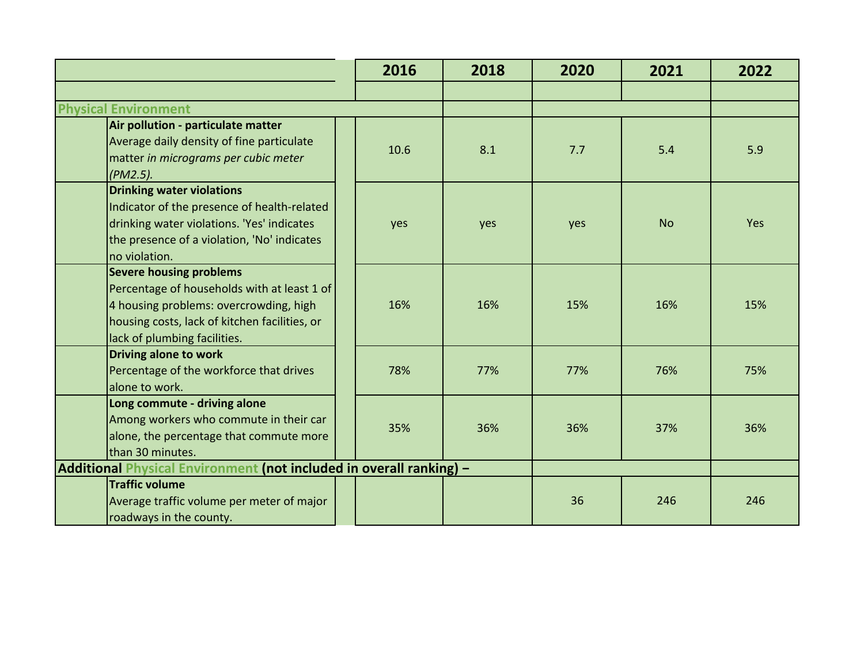|                                                                                                                                                                                                          | 2016                                                                | 2018 | 2020 | 2021      | 2022 |  |
|----------------------------------------------------------------------------------------------------------------------------------------------------------------------------------------------------------|---------------------------------------------------------------------|------|------|-----------|------|--|
|                                                                                                                                                                                                          |                                                                     |      |      |           |      |  |
| <b>Physical Environment</b>                                                                                                                                                                              |                                                                     |      |      |           |      |  |
| Air pollution - particulate matter<br>Average daily density of fine particulate<br>matter in micrograms per cubic meter<br>$(PM2.5)$ .                                                                   | 10.6                                                                | 8.1  | 7.7  | 5.4       | 5.9  |  |
| <b>Drinking water violations</b><br>Indicator of the presence of health-related<br>drinking water violations. 'Yes' indicates<br>the presence of a violation, 'No' indicates<br>no violation.            | yes                                                                 | yes  | yes  | <b>No</b> | Yes  |  |
| <b>Severe housing problems</b><br>Percentage of households with at least 1 of<br>4 housing problems: overcrowding, high<br>housing costs, lack of kitchen facilities, or<br>lack of plumbing facilities. | 16%                                                                 | 16%  | 15%  | 16%       | 15%  |  |
| Driving alone to work<br>Percentage of the workforce that drives<br>alone to work.                                                                                                                       | 78%                                                                 | 77%  | 77%  | 76%       | 75%  |  |
| Long commute - driving alone<br>Among workers who commute in their car<br>alone, the percentage that commute more<br>than 30 minutes.                                                                    | 35%                                                                 | 36%  | 36%  | 37%       | 36%  |  |
|                                                                                                                                                                                                          | Additional Physical Environment (not included in overall ranking) - |      |      |           |      |  |
| <b>Traffic volume</b><br>Average traffic volume per meter of major<br>roadways in the county.                                                                                                            |                                                                     |      | 36   | 246       | 246  |  |